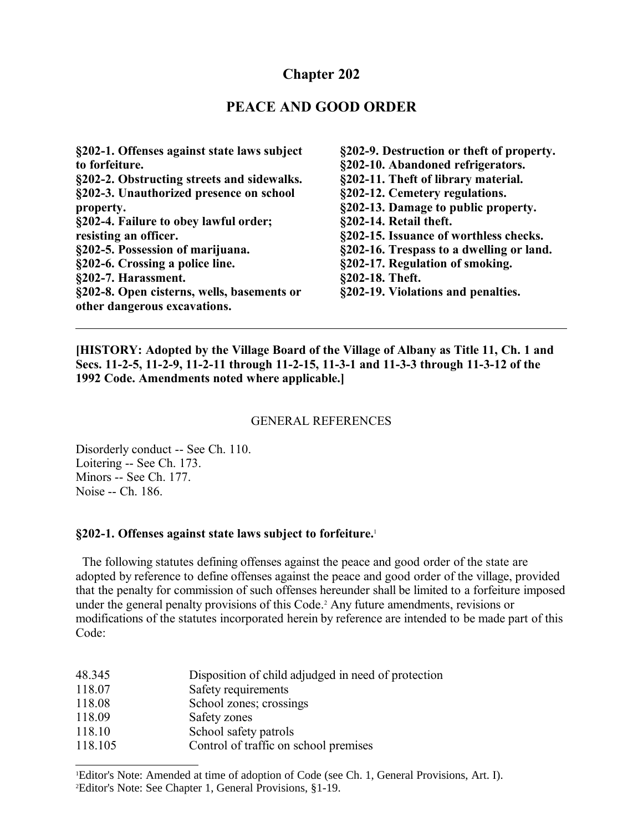## **Chapter 202**

#### **PEACE AND GOOD ORDER**

**§202-1. Offenses against state laws subject to forfeiture. §202-2. Obstructing streets and sidewalks. §202-3. Unauthorized presence on school property. §202-4. Failure to obey lawful order; resisting an officer. §202-5. Possession of marijuana. §202-6. Crossing a police line. §202-7. Harassment. §202-8. Open cisterns, wells, basements or other dangerous excavations.**

**§202-9. Destruction or theft of property. §202-10. Abandoned refrigerators. §202-11. Theft of library material. §202-12. Cemetery regulations. §202-13. Damage to public property. §202-14. Retail theft. §202-15. Issuance of worthless checks. §202-16. Trespass to a dwelling or land. §202-17. Regulation of smoking. §202-18. Theft. §202-19. Violations and penalties.**

**[HISTORY: Adopted by the Village Board of the Village of Albany as Title 11, Ch. 1 and Secs. 11-2-5, 11-2-9, 11-2-11 through 11-2-15, 11-3-1 and 11-3-3 through 11-3-12 of the 1992 Code. Amendments noted where applicable.]**

#### GENERAL REFERENCES

Disorderly conduct -- See Ch. 110. Loitering -- See Ch. 173. Minors -- See Ch. 177. Noise -- Ch. 186.

#### **§202-1. Offenses against state laws subject to forfeiture.**[1](#page-0-0)

 The following statutes defining offenses against the peace and good order of the state are adopted by reference to define offenses against the peace and good order of the village, provided that the penalty for commission of such offenses hereunder shall be limited to a forfeiture imposed under the general penalty provisions of this Code.<sup>[2](#page-0-1)</sup> Any future amendments, revisions or modifications of the statutes incorporated herein by reference are intended to be made part of this Code:

| 48.345  | Disposition of child adjudged in need of protection |
|---------|-----------------------------------------------------|
| 118.07  | Safety requirements                                 |
| 118.08  | School zones; crossings                             |
| 118.09  | Safety zones                                        |
| 118.10  | School safety patrols                               |
| 118.105 | Control of traffic on school premises               |

<span id="page-0-1"></span><span id="page-0-0"></span><sup>1</sup>Editor's Note: Amended at time of adoption of Code (see Ch. 1, General Provisions, Art. I). 2Editor's Note: See Chapter 1, General Provisions, §1-19.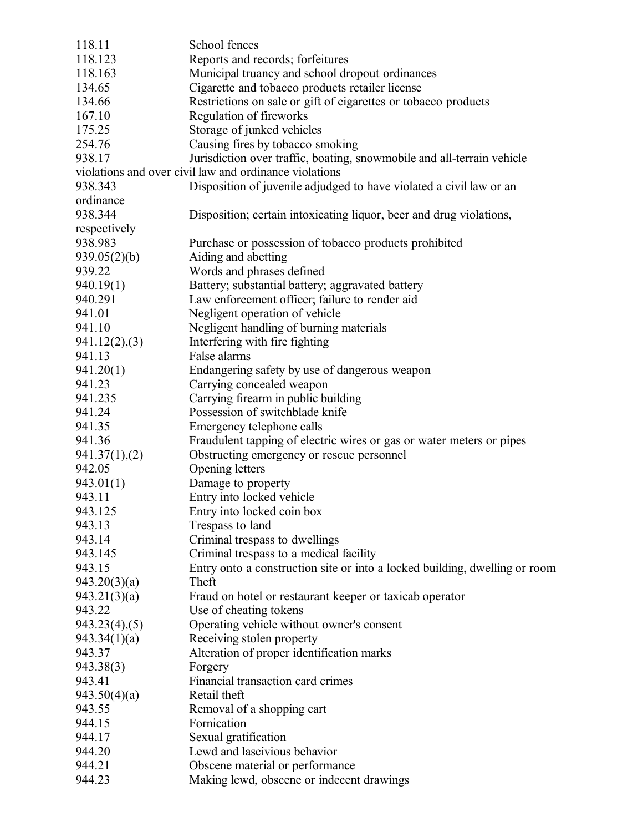| 118.11                                 | School fences                                                                                                                    |
|----------------------------------------|----------------------------------------------------------------------------------------------------------------------------------|
| 118.123                                | Reports and records; forfeitures                                                                                                 |
| 118.163                                | Municipal truancy and school dropout ordinances                                                                                  |
| 134.65                                 | Cigarette and tobacco products retailer license                                                                                  |
| 134.66                                 | Restrictions on sale or gift of cigarettes or tobacco products                                                                   |
| 167.10                                 | Regulation of fireworks                                                                                                          |
| 175.25                                 | Storage of junked vehicles                                                                                                       |
| 254.76                                 | Causing fires by tobacco smoking                                                                                                 |
| 938.17                                 |                                                                                                                                  |
|                                        | Jurisdiction over traffic, boating, snowmobile and all-terrain vehicle<br>violations and over civil law and ordinance violations |
|                                        |                                                                                                                                  |
| 938.343                                | Disposition of juvenile adjudged to have violated a civil law or an                                                              |
| ordinance                              |                                                                                                                                  |
| 938.344                                | Disposition; certain intoxicating liquor, beer and drug violations,                                                              |
| respectively                           |                                                                                                                                  |
| 938.983                                | Purchase or possession of tobacco products prohibited                                                                            |
| 939.05(2)(b)                           | Aiding and abetting                                                                                                              |
| 939.22                                 | Words and phrases defined                                                                                                        |
| 940.19(1)                              | Battery; substantial battery; aggravated battery                                                                                 |
| 940.291                                | Law enforcement officer; failure to render aid                                                                                   |
| 941.01                                 | Negligent operation of vehicle                                                                                                   |
| 941.10                                 | Negligent handling of burning materials                                                                                          |
| 941.12(2),(3)                          | Interfering with fire fighting                                                                                                   |
| 941.13                                 | False alarms                                                                                                                     |
| 941.20(1)                              | Endangering safety by use of dangerous weapon                                                                                    |
| 941.23                                 | Carrying concealed weapon                                                                                                        |
| 941.235                                | Carrying firearm in public building                                                                                              |
| 941.24                                 | Possession of switchblade knife                                                                                                  |
| 941.35                                 | Emergency telephone calls                                                                                                        |
| 941.36                                 | Fraudulent tapping of electric wires or gas or water meters or pipes                                                             |
|                                        |                                                                                                                                  |
| $941.37(1)$ <sub>2</sub> (2)<br>942.05 | Obstructing emergency or rescue personnel<br>Opening letters                                                                     |
|                                        |                                                                                                                                  |
| 943.01(1)                              | Damage to property                                                                                                               |
| 943.11                                 | Entry into locked vehicle                                                                                                        |
| 943.125                                | Entry into locked coin box                                                                                                       |
| 943.13                                 | Trespass to land                                                                                                                 |
| 943.14                                 | Criminal trespass to dwellings                                                                                                   |
| 943.145                                | Criminal trespass to a medical facility                                                                                          |
| 943.15                                 | Entry onto a construction site or into a locked building, dwelling or room                                                       |
| 943.20(3)(a)                           | Theft                                                                                                                            |
| 943.21(3)(a)                           | Fraud on hotel or restaurant keeper or taxicab operator                                                                          |
| 943.22                                 | Use of cheating tokens                                                                                                           |
| $943.23(4)$ , $(5)$                    | Operating vehicle without owner's consent                                                                                        |
| 943.34(1)(a)                           | Receiving stolen property                                                                                                        |
| 943.37                                 | Alteration of proper identification marks                                                                                        |
| 943.38(3)                              | Forgery                                                                                                                          |
| 943.41                                 | Financial transaction card crimes                                                                                                |
| 943.50(4)(a)                           | Retail theft                                                                                                                     |
| 943.55                                 | Removal of a shopping cart                                                                                                       |
| 944.15                                 | Fornication                                                                                                                      |
| 944.17                                 | Sexual gratification                                                                                                             |
| 944.20                                 | Lewd and lascivious behavior                                                                                                     |
| 944.21                                 | Obscene material or performance                                                                                                  |
| 944.23                                 |                                                                                                                                  |
|                                        | Making lewd, obscene or indecent drawings                                                                                        |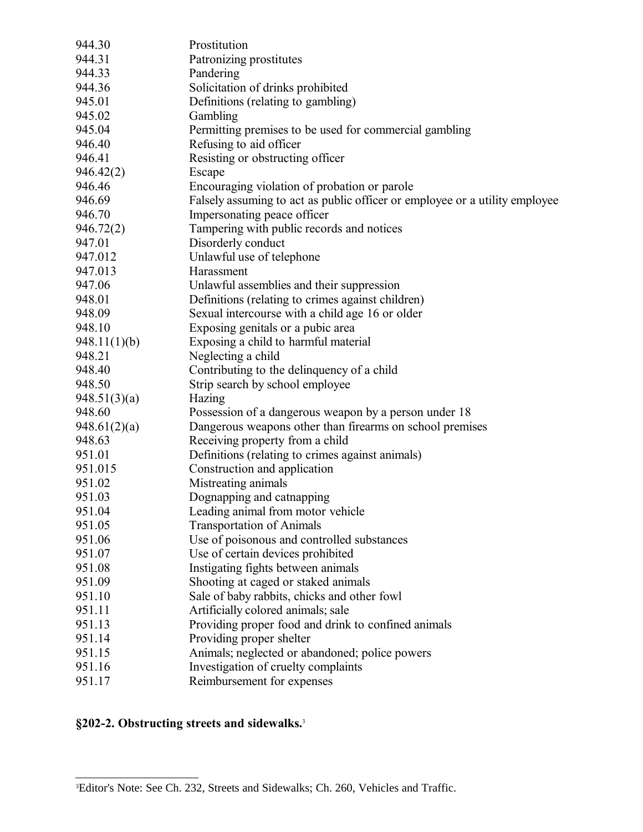| 944.30       | Prostitution                                                                |
|--------------|-----------------------------------------------------------------------------|
| 944.31       | Patronizing prostitutes                                                     |
| 944.33       | Pandering                                                                   |
| 944.36       | Solicitation of drinks prohibited                                           |
| 945.01       | Definitions (relating to gambling)                                          |
| 945.02       | Gambling                                                                    |
| 945.04       | Permitting premises to be used for commercial gambling                      |
| 946.40       | Refusing to aid officer                                                     |
| 946.41       | Resisting or obstructing officer                                            |
| 946.42(2)    | Escape                                                                      |
| 946.46       | Encouraging violation of probation or parole                                |
| 946.69       | Falsely assuming to act as public officer or employee or a utility employee |
| 946.70       | Impersonating peace officer                                                 |
| 946.72(2)    | Tampering with public records and notices                                   |
| 947.01       | Disorderly conduct                                                          |
| 947.012      | Unlawful use of telephone                                                   |
| 947.013      | Harassment                                                                  |
| 947.06       | Unlawful assemblies and their suppression                                   |
| 948.01       | Definitions (relating to crimes against children)                           |
| 948.09       | Sexual intercourse with a child age 16 or older                             |
| 948.10       | Exposing genitals or a pubic area                                           |
| 948.11(1)(b) | Exposing a child to harmful material                                        |
| 948.21       | Neglecting a child                                                          |
| 948.40       | Contributing to the delinquency of a child                                  |
| 948.50       | Strip search by school employee                                             |
| 948.51(3)(a) | Hazing                                                                      |
| 948.60       | Possession of a dangerous weapon by a person under 18                       |
| 948.61(2)(a) | Dangerous weapons other than firearms on school premises                    |
| 948.63       | Receiving property from a child                                             |
| 951.01       | Definitions (relating to crimes against animals)                            |
| 951.015      | Construction and application                                                |
| 951.02       | Mistreating animals                                                         |
| 951.03       | Dognapping and catnapping                                                   |
| 951.04       | Leading animal from motor vehicle                                           |
| 951.05       | <b>Transportation of Animals</b>                                            |
| 951.06       | Use of poisonous and controlled substances                                  |
| 951.07       | Use of certain devices prohibited                                           |
| 951.08       | Instigating fights between animals                                          |
| 951.09       | Shooting at caged or staked animals                                         |
| 951.10       | Sale of baby rabbits, chicks and other fowl                                 |
| 951.11       | Artificially colored animals; sale                                          |
| 951.13       | Providing proper food and drink to confined animals                         |
| 951.14       | Providing proper shelter                                                    |
| 951.15       | Animals; neglected or abandoned; police powers                              |
| 951.16       | Investigation of cruelty complaints                                         |
| 951.17       | Reimbursement for expenses                                                  |

# **§202-2. Obstructing streets and sidewalks.**[3](#page-2-0)

<span id="page-2-0"></span><sup>3</sup>Editor's Note: See Ch. 232, Streets and Sidewalks; Ch. 260, Vehicles and Traffic.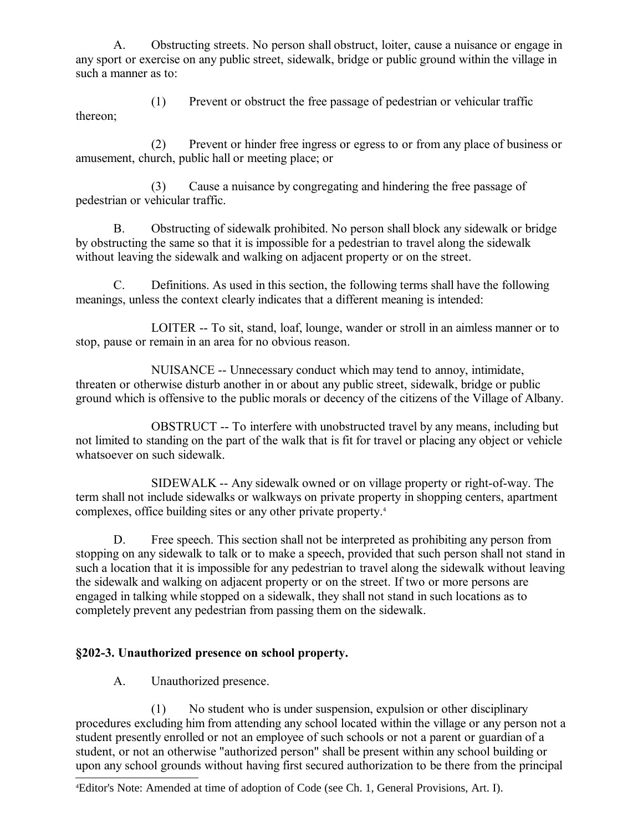A. Obstructing streets. No person shall obstruct, loiter, cause a nuisance or engage in any sport or exercise on any public street, sidewalk, bridge or public ground within the village in such a manner as to:

(1) Prevent or obstruct the free passage of pedestrian or vehicular traffic thereon;

(2) Prevent or hinder free ingress or egress to or from any place of business or amusement, church, public hall or meeting place; or

(3) Cause a nuisance by congregating and hindering the free passage of pedestrian or vehicular traffic.

B. Obstructing of sidewalk prohibited. No person shall block any sidewalk or bridge by obstructing the same so that it is impossible for a pedestrian to travel along the sidewalk without leaving the sidewalk and walking on adjacent property or on the street.

C. Definitions. As used in this section, the following terms shall have the following meanings, unless the context clearly indicates that a different meaning is intended:

LOITER -- To sit, stand, loaf, lounge, wander or stroll in an aimless manner or to stop, pause or remain in an area for no obvious reason.

NUISANCE -- Unnecessary conduct which may tend to annoy, intimidate, threaten or otherwise disturb another in or about any public street, sidewalk, bridge or public ground which is offensive to the public morals or decency of the citizens of the Village of Albany.

OBSTRUCT -- To interfere with unobstructed travel by any means, including but not limited to standing on the part of the walk that is fit for travel or placing any object or vehicle whatsoever on such sidewalk.

SIDEWALK -- Any sidewalk owned or on village property or right-of-way. The term shall not include sidewalks or walkways on private property in shopping centers, apartment complexes, office building sites or any other private property.[4](#page-3-0)

D. Free speech. This section shall not be interpreted as prohibiting any person from stopping on any sidewalk to talk or to make a speech, provided that such person shall not stand in such a location that it is impossible for any pedestrian to travel along the sidewalk without leaving the sidewalk and walking on adjacent property or on the street. If two or more persons are engaged in talking while stopped on a sidewalk, they shall not stand in such locations as to completely prevent any pedestrian from passing them on the sidewalk.

## **§202-3. Unauthorized presence on school property.**

A. Unauthorized presence.

(1) No student who is under suspension, expulsion or other disciplinary procedures excluding him from attending any school located within the village or any person not a student presently enrolled or not an employee of such schools or not a parent or guardian of a student, or not an otherwise "authorized person" shall be present within any school building or upon any school grounds without having first secured authorization to be there from the principal

<span id="page-3-0"></span><sup>4</sup>Editor's Note: Amended at time of adoption of Code (see Ch. 1, General Provisions, Art. I).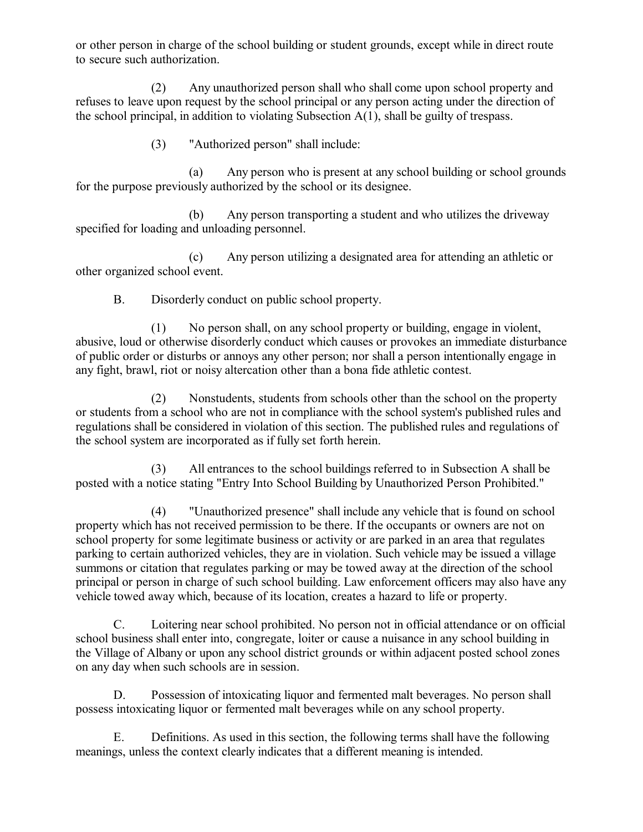or other person in charge of the school building or student grounds, except while in direct route to secure such authorization.

(2) Any unauthorized person shall who shall come upon school property and refuses to leave upon request by the school principal or any person acting under the direction of the school principal, in addition to violating Subsection A(1), shall be guilty of trespass.

(3) "Authorized person" shall include:

(a) Any person who is present at any school building or school grounds for the purpose previously authorized by the school or its designee.

(b) Any person transporting a student and who utilizes the driveway specified for loading and unloading personnel.

(c) Any person utilizing a designated area for attending an athletic or other organized school event.

B. Disorderly conduct on public school property.

(1) No person shall, on any school property or building, engage in violent, abusive, loud or otherwise disorderly conduct which causes or provokes an immediate disturbance of public order or disturbs or annoys any other person; nor shall a person intentionally engage in any fight, brawl, riot or noisy altercation other than a bona fide athletic contest.

(2) Nonstudents, students from schools other than the school on the property or students from a school who are not in compliance with the school system's published rules and regulations shall be considered in violation of this section. The published rules and regulations of the school system are incorporated as if fully set forth herein.

(3) All entrances to the school buildings referred to in Subsection A shall be posted with a notice stating "Entry Into School Building by Unauthorized Person Prohibited."

(4) "Unauthorized presence" shall include any vehicle that is found on school property which has not received permission to be there. If the occupants or owners are not on school property for some legitimate business or activity or are parked in an area that regulates parking to certain authorized vehicles, they are in violation. Such vehicle may be issued a village summons or citation that regulates parking or may be towed away at the direction of the school principal or person in charge of such school building. Law enforcement officers may also have any vehicle towed away which, because of its location, creates a hazard to life or property.

C. Loitering near school prohibited. No person not in official attendance or on official school business shall enter into, congregate, loiter or cause a nuisance in any school building in the Village of Albany or upon any school district grounds or within adjacent posted school zones on any day when such schools are in session.

D. Possession of intoxicating liquor and fermented malt beverages. No person shall possess intoxicating liquor or fermented malt beverages while on any school property.

E. Definitions. As used in this section, the following terms shall have the following meanings, unless the context clearly indicates that a different meaning is intended.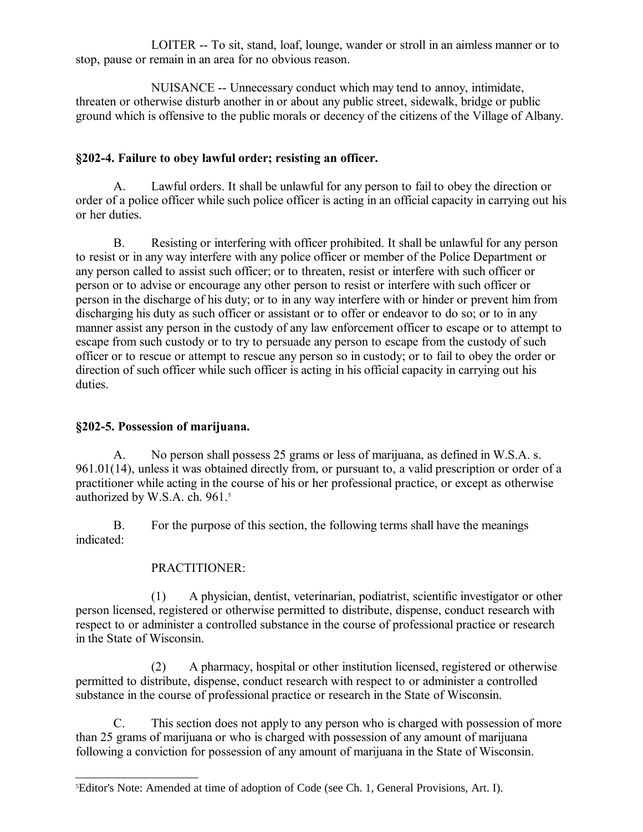LOITER -- To sit, stand, loaf, lounge, wander or stroll in an aimless manner or to stop, pause or remain in an area for no obvious reason.

NUISANCE -- Unnecessary conduct which may tend to annoy, intimidate, threaten or otherwise disturb another in or about any public street, sidewalk, bridge or public ground which is offensive to the public morals or decency of the citizens of the Village of Albany.

### **§202-4. Failure to obey lawful order; resisting an officer.**

A. Lawful orders. It shall be unlawful for any person to fail to obey the direction or order of a police officer while such police officer is acting in an official capacity in carrying out his or her duties.

B. Resisting or interfering with officer prohibited. It shall be unlawful for any person to resist or in any way interfere with any police officer or member of the Police Department or any person called to assist such officer; or to threaten, resist or interfere with such officer or person or to advise or encourage any other person to resist or interfere with such officer or person in the discharge of his duty; or to in any way interfere with or hinder or prevent him from discharging his duty as such officer or assistant or to offer or endeavor to do so; or to in any manner assist any person in the custody of any law enforcement officer to escape or to attempt to escape from such custody or to try to persuade any person to escape from the custody of such officer or to rescue or attempt to rescue any person so in custody; or to fail to obey the order or direction of such officer while such officer is acting in his official capacity in carrying out his duties.

#### **§202-5. Possession of marijuana.**

A. No person shall possess 25 grams or less of marijuana, as defined in W.S.A. s. 961.01(14), unless it was obtained directly from, or pursuant to, a valid prescription or order of a practitioner while acting in the course of his or her professional practice, or except as otherwise authorized by W.S.A. ch. 961.<sup>[5](#page-5-0)</sup>

B. For the purpose of this section, the following terms shall have the meanings indicated:

#### PRACTITIONER:

(1) A physician, dentist, veterinarian, podiatrist, scientific investigator or other person licensed, registered or otherwise permitted to distribute, dispense, conduct research with respect to or administer a controlled substance in the course of professional practice or research in the State of Wisconsin.

(2) A pharmacy, hospital or other institution licensed, registered or otherwise permitted to distribute, dispense, conduct research with respect to or administer a controlled substance in the course of professional practice or research in the State of Wisconsin.

C. This section does not apply to any person who is charged with possession of more than 25 grams of marijuana or who is charged with possession of any amount of marijuana following a conviction for possession of any amount of marijuana in the State of Wisconsin.

<span id="page-5-0"></span><sup>5</sup>Editor's Note: Amended at time of adoption of Code (see Ch. 1, General Provisions, Art. I).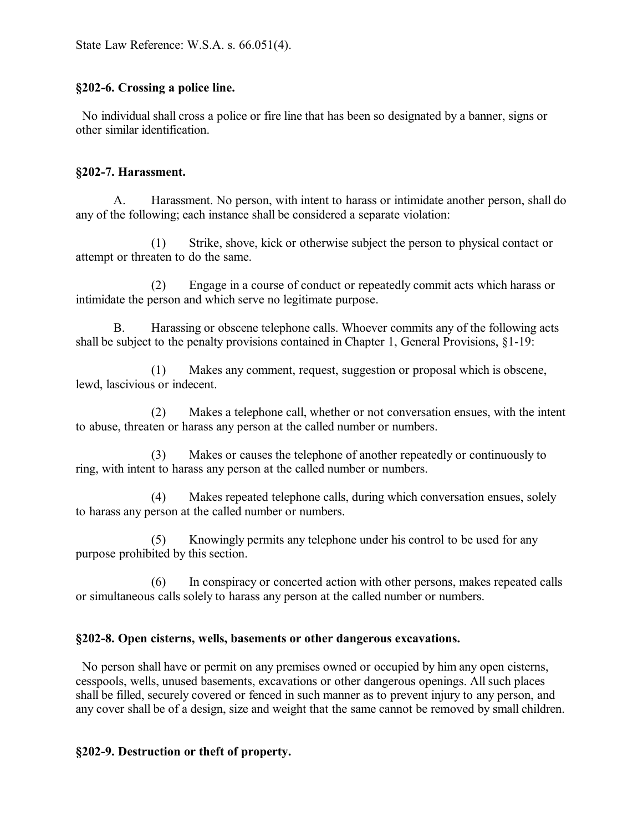## **§202-6. Crossing a police line.**

 No individual shall cross a police or fire line that has been so designated by a banner, signs or other similar identification.

#### **§202-7. Harassment.**

A. Harassment. No person, with intent to harass or intimidate another person, shall do any of the following; each instance shall be considered a separate violation:

(1) Strike, shove, kick or otherwise subject the person to physical contact or attempt or threaten to do the same.

(2) Engage in a course of conduct or repeatedly commit acts which harass or intimidate the person and which serve no legitimate purpose.

B. Harassing or obscene telephone calls. Whoever commits any of the following acts shall be subject to the penalty provisions contained in Chapter 1, General Provisions, §1-19:

(1) Makes any comment, request, suggestion or proposal which is obscene, lewd, lascivious or indecent.

(2) Makes a telephone call, whether or not conversation ensues, with the intent to abuse, threaten or harass any person at the called number or numbers.

(3) Makes or causes the telephone of another repeatedly or continuously to ring, with intent to harass any person at the called number or numbers.

(4) Makes repeated telephone calls, during which conversation ensues, solely to harass any person at the called number or numbers.

(5) Knowingly permits any telephone under his control to be used for any purpose prohibited by this section.

(6) In conspiracy or concerted action with other persons, makes repeated calls or simultaneous calls solely to harass any person at the called number or numbers.

## **§202-8. Open cisterns, wells, basements or other dangerous excavations.**

 No person shall have or permit on any premises owned or occupied by him any open cisterns, cesspools, wells, unused basements, excavations or other dangerous openings. All such places shall be filled, securely covered or fenced in such manner as to prevent injury to any person, and any cover shall be of a design, size and weight that the same cannot be removed by small children.

## **§202-9. Destruction or theft of property.**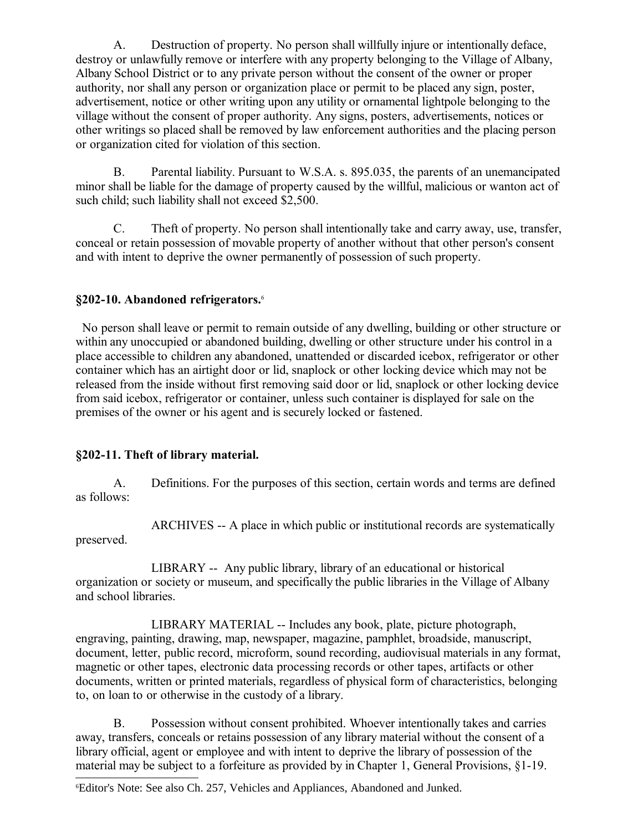A. Destruction of property. No person shall willfully injure or intentionally deface, destroy or unlawfully remove or interfere with any property belonging to the Village of Albany, Albany School District or to any private person without the consent of the owner or proper authority, nor shall any person or organization place or permit to be placed any sign, poster, advertisement, notice or other writing upon any utility or ornamental lightpole belonging to the village without the consent of proper authority. Any signs, posters, advertisements, notices or other writings so placed shall be removed by law enforcement authorities and the placing person or organization cited for violation of this section.

B. Parental liability. Pursuant to W.S.A. s. 895.035, the parents of an unemancipated minor shall be liable for the damage of property caused by the willful, malicious or wanton act of such child; such liability shall not exceed \$2,500.

C. Theft of property. No person shall intentionally take and carry away, use, transfer, conceal or retain possession of movable property of another without that other person's consent and with intent to deprive the owner permanently of possession of such property.

### **§202-10. Abandoned refrigerators.**[6](#page-7-0)

 No person shall leave or permit to remain outside of any dwelling, building or other structure or within any unoccupied or abandoned building, dwelling or other structure under his control in a place accessible to children any abandoned, unattended or discarded icebox, refrigerator or other container which has an airtight door or lid, snaplock or other locking device which may not be released from the inside without first removing said door or lid, snaplock or other locking device from said icebox, refrigerator or container, unless such container is displayed for sale on the premises of the owner or his agent and is securely locked or fastened.

#### **§202-11. Theft of library material.**

A. Definitions. For the purposes of this section, certain words and terms are defined as follows:

ARCHIVES -- A place in which public or institutional records are systematically preserved.

LIBRARY -- Any public library, library of an educational or historical organization or society or museum, and specifically the public libraries in the Village of Albany and school libraries.

LIBRARY MATERIAL -- Includes any book, plate, picture photograph, engraving, painting, drawing, map, newspaper, magazine, pamphlet, broadside, manuscript, document, letter, public record, microform, sound recording, audiovisual materials in any format, magnetic or other tapes, electronic data processing records or other tapes, artifacts or other documents, written or printed materials, regardless of physical form of characteristics, belonging to, on loan to or otherwise in the custody of a library.

B. Possession without consent prohibited. Whoever intentionally takes and carries away, transfers, conceals or retains possession of any library material without the consent of a library official, agent or employee and with intent to deprive the library of possession of the material may be subject to a forfeiture as provided by in Chapter 1, General Provisions, §1-19.

<span id="page-7-0"></span><sup>6</sup>Editor's Note: See also Ch. 257, Vehicles and Appliances, Abandoned and Junked.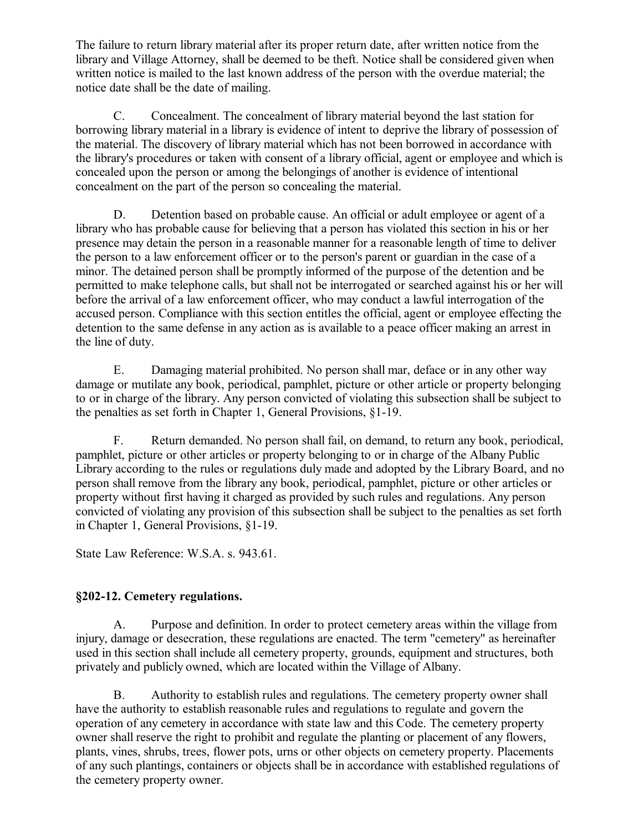The failure to return library material after its proper return date, after written notice from the library and Village Attorney, shall be deemed to be theft. Notice shall be considered given when written notice is mailed to the last known address of the person with the overdue material; the notice date shall be the date of mailing.

C. Concealment. The concealment of library material beyond the last station for borrowing library material in a library is evidence of intent to deprive the library of possession of the material. The discovery of library material which has not been borrowed in accordance with the library's procedures or taken with consent of a library official, agent or employee and which is concealed upon the person or among the belongings of another is evidence of intentional concealment on the part of the person so concealing the material.

D. Detention based on probable cause. An official or adult employee or agent of a library who has probable cause for believing that a person has violated this section in his or her presence may detain the person in a reasonable manner for a reasonable length of time to deliver the person to a law enforcement officer or to the person's parent or guardian in the case of a minor. The detained person shall be promptly informed of the purpose of the detention and be permitted to make telephone calls, but shall not be interrogated or searched against his or her will before the arrival of a law enforcement officer, who may conduct a lawful interrogation of the accused person. Compliance with this section entitles the official, agent or employee effecting the detention to the same defense in any action as is available to a peace officer making an arrest in the line of duty.

E. Damaging material prohibited. No person shall mar, deface or in any other way damage or mutilate any book, periodical, pamphlet, picture or other article or property belonging to or in charge of the library. Any person convicted of violating this subsection shall be subject to the penalties as set forth in Chapter 1, General Provisions, §1-19.

F. Return demanded. No person shall fail, on demand, to return any book, periodical, pamphlet, picture or other articles or property belonging to or in charge of the Albany Public Library according to the rules or regulations duly made and adopted by the Library Board, and no person shall remove from the library any book, periodical, pamphlet, picture or other articles or property without first having it charged as provided by such rules and regulations. Any person convicted of violating any provision of this subsection shall be subject to the penalties as set forth in Chapter 1, General Provisions, §1-19.

State Law Reference: W.S.A. s. 943.61.

## **§202-12. Cemetery regulations.**

A. Purpose and definition. In order to protect cemetery areas within the village from injury, damage or desecration, these regulations are enacted. The term "cemetery" as hereinafter used in this section shall include all cemetery property, grounds, equipment and structures, both privately and publicly owned, which are located within the Village of Albany.

B. Authority to establish rules and regulations. The cemetery property owner shall have the authority to establish reasonable rules and regulations to regulate and govern the operation of any cemetery in accordance with state law and this Code. The cemetery property owner shall reserve the right to prohibit and regulate the planting or placement of any flowers, plants, vines, shrubs, trees, flower pots, urns or other objects on cemetery property. Placements of any such plantings, containers or objects shall be in accordance with established regulations of the cemetery property owner.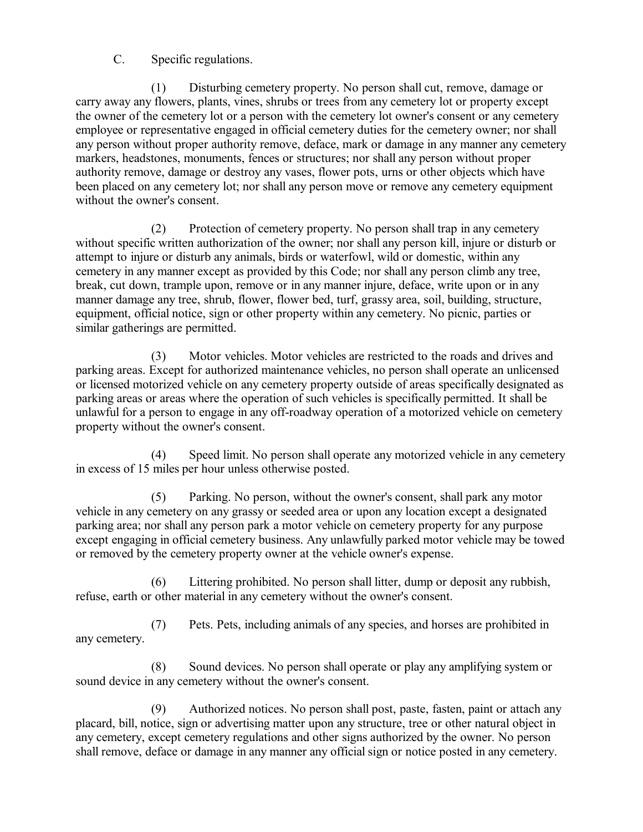C. Specific regulations.

(1) Disturbing cemetery property. No person shall cut, remove, damage or carry away any flowers, plants, vines, shrubs or trees from any cemetery lot or property except the owner of the cemetery lot or a person with the cemetery lot owner's consent or any cemetery employee or representative engaged in official cemetery duties for the cemetery owner; nor shall any person without proper authority remove, deface, mark or damage in any manner any cemetery markers, headstones, monuments, fences or structures; nor shall any person without proper authority remove, damage or destroy any vases, flower pots, urns or other objects which have been placed on any cemetery lot; nor shall any person move or remove any cemetery equipment without the owner's consent.

(2) Protection of cemetery property. No person shall trap in any cemetery without specific written authorization of the owner; nor shall any person kill, injure or disturb or attempt to injure or disturb any animals, birds or waterfowl, wild or domestic, within any cemetery in any manner except as provided by this Code; nor shall any person climb any tree, break, cut down, trample upon, remove or in any manner injure, deface, write upon or in any manner damage any tree, shrub, flower, flower bed, turf, grassy area, soil, building, structure, equipment, official notice, sign or other property within any cemetery. No picnic, parties or similar gatherings are permitted.

(3) Motor vehicles. Motor vehicles are restricted to the roads and drives and parking areas. Except for authorized maintenance vehicles, no person shall operate an unlicensed or licensed motorized vehicle on any cemetery property outside of areas specifically designated as parking areas or areas where the operation of such vehicles is specifically permitted. It shall be unlawful for a person to engage in any off-roadway operation of a motorized vehicle on cemetery property without the owner's consent.

(4) Speed limit. No person shall operate any motorized vehicle in any cemetery in excess of 15 miles per hour unless otherwise posted.

(5) Parking. No person, without the owner's consent, shall park any motor vehicle in any cemetery on any grassy or seeded area or upon any location except a designated parking area; nor shall any person park a motor vehicle on cemetery property for any purpose except engaging in official cemetery business. Any unlawfully parked motor vehicle may be towed or removed by the cemetery property owner at the vehicle owner's expense.

(6) Littering prohibited. No person shall litter, dump or deposit any rubbish, refuse, earth or other material in any cemetery without the owner's consent.

(7) Pets. Pets, including animals of any species, and horses are prohibited in any cemetery.

(8) Sound devices. No person shall operate or play any amplifying system or sound device in any cemetery without the owner's consent.

(9) Authorized notices. No person shall post, paste, fasten, paint or attach any placard, bill, notice, sign or advertising matter upon any structure, tree or other natural object in any cemetery, except cemetery regulations and other signs authorized by the owner. No person shall remove, deface or damage in any manner any official sign or notice posted in any cemetery.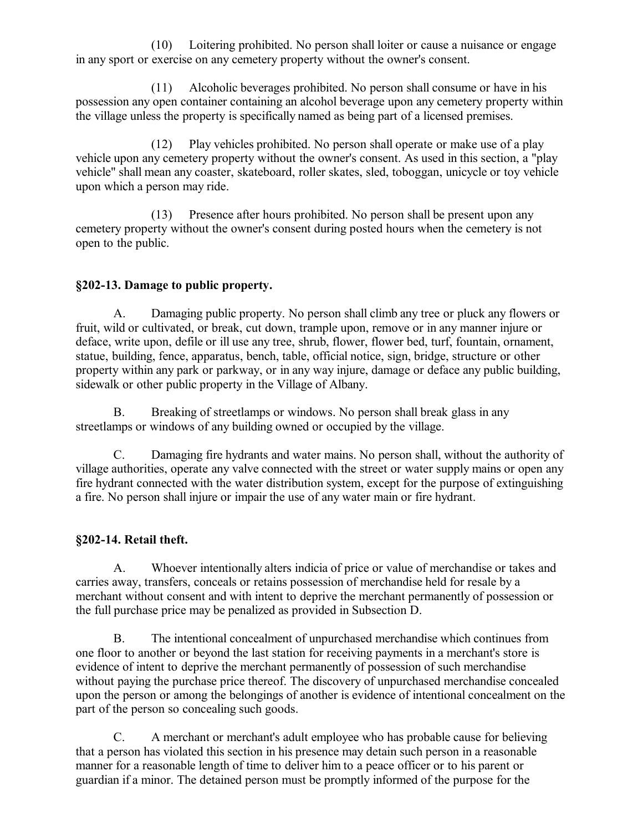(10) Loitering prohibited. No person shall loiter or cause a nuisance or engage in any sport or exercise on any cemetery property without the owner's consent.

(11) Alcoholic beverages prohibited. No person shall consume or have in his possession any open container containing an alcohol beverage upon any cemetery property within the village unless the property is specifically named as being part of a licensed premises.

(12) Play vehicles prohibited. No person shall operate or make use of a play vehicle upon any cemetery property without the owner's consent. As used in this section, a "play vehicle" shall mean any coaster, skateboard, roller skates, sled, toboggan, unicycle or toy vehicle upon which a person may ride.

(13) Presence after hours prohibited. No person shall be present upon any cemetery property without the owner's consent during posted hours when the cemetery is not open to the public.

#### **§202-13. Damage to public property.**

A. Damaging public property. No person shall climb any tree or pluck any flowers or fruit, wild or cultivated, or break, cut down, trample upon, remove or in any manner injure or deface, write upon, defile or ill use any tree, shrub, flower, flower bed, turf, fountain, ornament, statue, building, fence, apparatus, bench, table, official notice, sign, bridge, structure or other property within any park or parkway, or in any way injure, damage or deface any public building, sidewalk or other public property in the Village of Albany.

B. Breaking of streetlamps or windows. No person shall break glass in any streetlamps or windows of any building owned or occupied by the village.

C. Damaging fire hydrants and water mains. No person shall, without the authority of village authorities, operate any valve connected with the street or water supply mains or open any fire hydrant connected with the water distribution system, except for the purpose of extinguishing a fire. No person shall injure or impair the use of any water main or fire hydrant.

#### **§202-14. Retail theft.**

A. Whoever intentionally alters indicia of price or value of merchandise or takes and carries away, transfers, conceals or retains possession of merchandise held for resale by a merchant without consent and with intent to deprive the merchant permanently of possession or the full purchase price may be penalized as provided in Subsection D.

B. The intentional concealment of unpurchased merchandise which continues from one floor to another or beyond the last station for receiving payments in a merchant's store is evidence of intent to deprive the merchant permanently of possession of such merchandise without paying the purchase price thereof. The discovery of unpurchased merchandise concealed upon the person or among the belongings of another is evidence of intentional concealment on the part of the person so concealing such goods.

C. A merchant or merchant's adult employee who has probable cause for believing that a person has violated this section in his presence may detain such person in a reasonable manner for a reasonable length of time to deliver him to a peace officer or to his parent or guardian if a minor. The detained person must be promptly informed of the purpose for the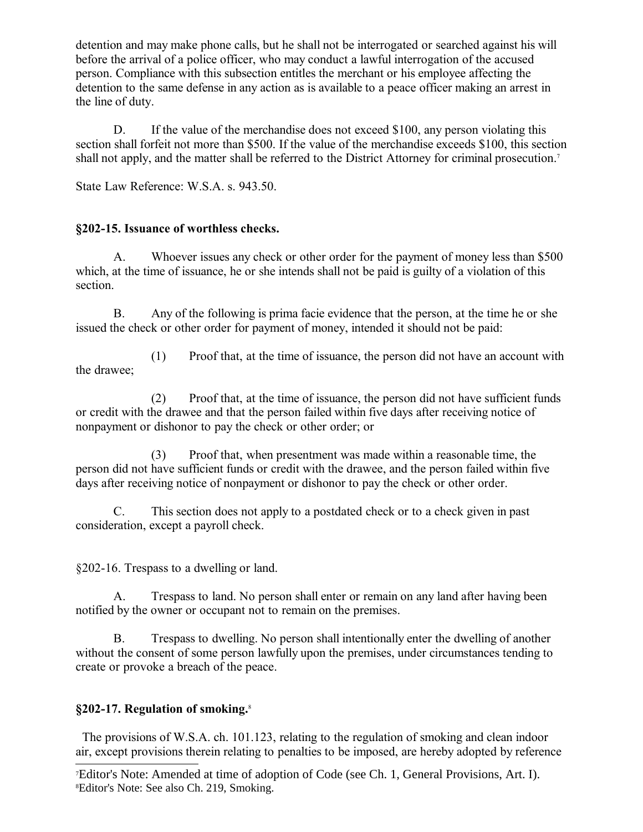detention and may make phone calls, but he shall not be interrogated or searched against his will before the arrival of a police officer, who may conduct a lawful interrogation of the accused person. Compliance with this subsection entitles the merchant or his employee affecting the detention to the same defense in any action as is available to a peace officer making an arrest in the line of duty.

D. If the value of the merchandise does not exceed \$100, any person violating this section shall forfeit not more than \$500. If the value of the merchandise exceeds \$100, this section shall not apply, and the matter shall be referred to the District Attorney for criminal prosecution.<sup>[7](#page-11-0)</sup>

State Law Reference: W.S.A. s. 943.50.

## **§202-15. Issuance of worthless checks.**

A. Whoever issues any check or other order for the payment of money less than \$500 which, at the time of issuance, he or she intends shall not be paid is guilty of a violation of this section.

B. Any of the following is prima facie evidence that the person, at the time he or she issued the check or other order for payment of money, intended it should not be paid:

(1) Proof that, at the time of issuance, the person did not have an account with the drawee;

(2) Proof that, at the time of issuance, the person did not have sufficient funds or credit with the drawee and that the person failed within five days after receiving notice of nonpayment or dishonor to pay the check or other order; or

(3) Proof that, when presentment was made within a reasonable time, the person did not have sufficient funds or credit with the drawee, and the person failed within five days after receiving notice of nonpayment or dishonor to pay the check or other order.

C. This section does not apply to a postdated check or to a check given in past consideration, except a payroll check.

§202-16. Trespass to a dwelling or land.

A. Trespass to land. No person shall enter or remain on any land after having been notified by the owner or occupant not to remain on the premises.

B. Trespass to dwelling. No person shall intentionally enter the dwelling of another without the consent of some person lawfully upon the premises, under circumstances tending to create or provoke a breach of the peace.

## **§202-17. Regulation of smoking.**[8](#page-11-1)

 The provisions of W.S.A. ch. 101.123, relating to the regulation of smoking and clean indoor air, except provisions therein relating to penalties to be imposed, are hereby adopted by reference

<span id="page-11-1"></span><span id="page-11-0"></span><sup>7</sup>Editor's Note: Amended at time of adoption of Code (see Ch. 1, General Provisions, Art. I). 8Editor's Note: See also Ch. 219, Smoking.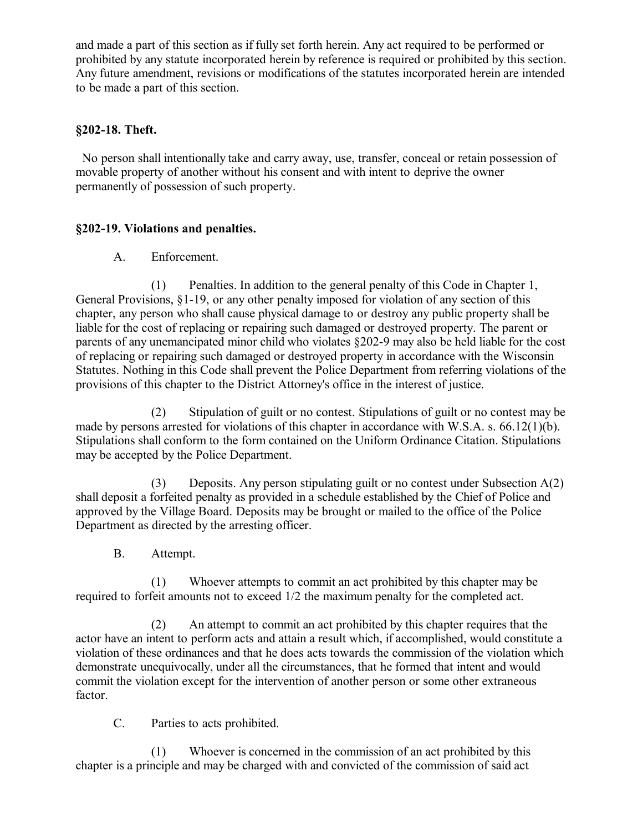and made a part of this section as if fully set forth herein. Any act required to be performed or prohibited by any statute incorporated herein by reference is required or prohibited by this section. Any future amendment, revisions or modifications of the statutes incorporated herein are intended to be made a part of this section.

#### **§202-18. Theft.**

 No person shall intentionally take and carry away, use, transfer, conceal or retain possession of movable property of another without his consent and with intent to deprive the owner permanently of possession of such property.

### **§202-19. Violations and penalties.**

A. Enforcement.

(1) Penalties. In addition to the general penalty of this Code in Chapter 1, General Provisions, §1-19, or any other penalty imposed for violation of any section of this chapter, any person who shall cause physical damage to or destroy any public property shall be liable for the cost of replacing or repairing such damaged or destroyed property. The parent or parents of any unemancipated minor child who violates §202-9 may also be held liable for the cost of replacing or repairing such damaged or destroyed property in accordance with the Wisconsin Statutes. Nothing in this Code shall prevent the Police Department from referring violations of the provisions of this chapter to the District Attorney's office in the interest of justice.

(2) Stipulation of guilt or no contest. Stipulations of guilt or no contest may be made by persons arrested for violations of this chapter in accordance with W.S.A. s. 66.12(1)(b). Stipulations shall conform to the form contained on the Uniform Ordinance Citation. Stipulations may be accepted by the Police Department.

(3) Deposits. Any person stipulating guilt or no contest under Subsection  $A(2)$ shall deposit a forfeited penalty as provided in a schedule established by the Chief of Police and approved by the Village Board. Deposits may be brought or mailed to the office of the Police Department as directed by the arresting officer.

B. Attempt.

(1) Whoever attempts to commit an act prohibited by this chapter may be required to forfeit amounts not to exceed 1/2 the maximum penalty for the completed act.

(2) An attempt to commit an act prohibited by this chapter requires that the actor have an intent to perform acts and attain a result which, if accomplished, would constitute a violation of these ordinances and that he does acts towards the commission of the violation which demonstrate unequivocally, under all the circumstances, that he formed that intent and would commit the violation except for the intervention of another person or some other extraneous factor.

C. Parties to acts prohibited.

(1) Whoever is concerned in the commission of an act prohibited by this chapter is a principle and may be charged with and convicted of the commission of said act